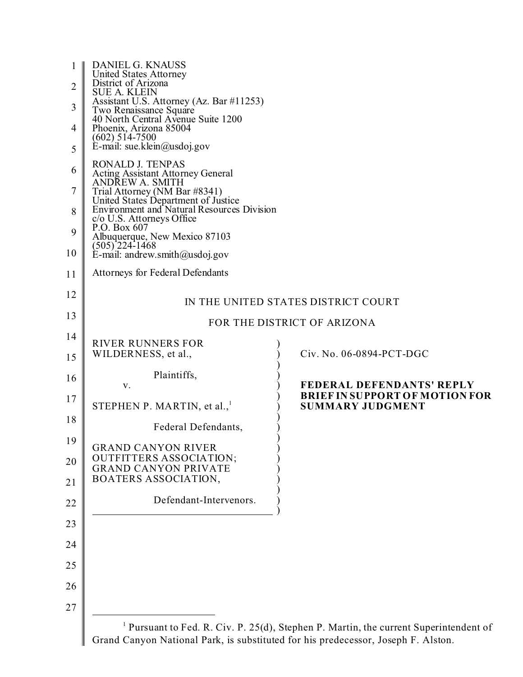| 1<br>$\overline{2}$ | <b>DANIEL G. KNAUSS</b><br>United States Attorney<br>District of Arizona<br><b>SUE A. KLEIN</b>                    |                                                                                               |
|---------------------|--------------------------------------------------------------------------------------------------------------------|-----------------------------------------------------------------------------------------------|
| 3                   | Assistant U.S. Attorney (Az. Bar #11253)<br>Two Renaissance Square<br>40 North Central Avenue Suite 1200           |                                                                                               |
| 4                   | Phoenix, Arizona 85004<br>$(602) 514 - 7500$                                                                       |                                                                                               |
| 5                   | E-mail: sue.klein@usdoj.gov                                                                                        |                                                                                               |
| 6                   | RONALD J. TENPAS<br><b>Acting Assistant Attorney General</b><br>ANDREW A. SMITH                                    |                                                                                               |
| 7                   | Trial Attorney (NM Bar #8341)<br>United States Department of Justice<br>Environment and Natural Resources Division |                                                                                               |
| 8                   | c/o U.S. Attorneys Office                                                                                          |                                                                                               |
| 9<br>10             | P.O. Box 607<br>Albuquerque, New Mexico 87103<br>(505) 224-1468<br>$E$ -mail: andrew.smith@usdoj.gov               |                                                                                               |
| 11                  | Attorneys for Federal Defendants                                                                                   |                                                                                               |
| 12                  |                                                                                                                    | IN THE UNITED STATES DISTRICT COURT                                                           |
| 13                  |                                                                                                                    | FOR THE DISTRICT OF ARIZONA                                                                   |
| 14                  | <b>RIVER RUNNERS FOR</b>                                                                                           |                                                                                               |
| 15                  | WILDERNESS, et al.,                                                                                                | Civ. No. 06-0894-PCT-DGC                                                                      |
| 16                  | Plaintiffs,<br>V.                                                                                                  | <b>FEDERAL DEFENDANTS' REPLY</b>                                                              |
| 17                  | STEPHEN P. MARTIN, et al., $1$                                                                                     | <b>BRIEF IN SUPPORT OF MOTION FOR</b><br><b>SUMMARY JUDGMENT</b>                              |
| 18                  | Federal Defendants,                                                                                                |                                                                                               |
| 19                  | <b>GRAND CANYON RIVER</b>                                                                                          |                                                                                               |
| 20                  | <b>OUTFITTERS ASSOCIATION;</b><br><b>GRAND CANYON PRIVATE</b>                                                      |                                                                                               |
| 21                  | BOATERS ASSOCIATION,                                                                                               |                                                                                               |
| 22                  | Defendant-Intervenors.                                                                                             |                                                                                               |
| 23                  |                                                                                                                    |                                                                                               |
| 24                  |                                                                                                                    |                                                                                               |
| 25                  |                                                                                                                    |                                                                                               |
| 26                  |                                                                                                                    |                                                                                               |
| 27                  |                                                                                                                    |                                                                                               |
|                     |                                                                                                                    | <sup>1</sup> Durated to Ead D. Civ. D. 25(d) Staphan D. Martin, the current Superintendent of |

 Pursuant to Fed. R. Civ. P. 25(d), Stephen P. Martin, the current Superintendent of Grand Canyon National Park, is substituted for his predecessor, Joseph F. Alston.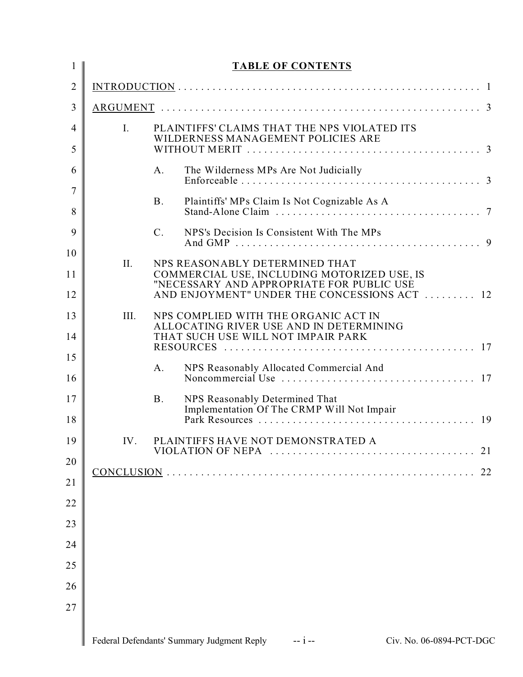| 1              |                | <b>TABLE OF CONTENTS</b>                                                                        |
|----------------|----------------|-------------------------------------------------------------------------------------------------|
| $\overline{2}$ |                |                                                                                                 |
| 3              |                |                                                                                                 |
| $\overline{4}$ | $\mathbf{I}$ . | PLAINTIFFS' CLAIMS THAT THE NPS VIOLATED ITS<br>WILDERNESS MANAGEMENT POLICIES ARE              |
| 5              |                |                                                                                                 |
| 6              |                | The Wilderness MPs Are Not Judicially<br>A.                                                     |
| 7<br>8         |                | <b>B.</b><br>Plaintiffs' MPs Claim Is Not Cognizable As A                                       |
| 9              |                | NPS's Decision Is Consistent With The MPs<br>C <sub>1</sub>                                     |
| 10             | II.            | NPS REASONABLY DETERMINED THAT                                                                  |
| 11             |                | COMMERCIAL USE, INCLUDING MOTORIZED USE, IS<br>"NECESSARY AND APPROPRIATE FOR PUBLIC USE        |
| 12             |                | AND ENJOYMENT" UNDER THE CONCESSIONS ACT  12                                                    |
| 13             | III.           | NPS COMPLIED WITH THE ORGANIC ACT IN<br>ALLOCATING RIVER USE AND IN DETERMINING                 |
| 14             |                | THAT SUCH USE WILL NOT IMPAIR PARK                                                              |
| 15             |                | NPS Reasonably Allocated Commercial And<br>A.                                                   |
| 16             |                |                                                                                                 |
| 17<br>18       |                | <b>B.</b><br>NPS Reasonably Determined That<br>Implementation Of The CRMP Will Not Impair<br>19 |
| 19             | IV.            | PLAINTIFFS HAVE NOT DEMONSTRATED A                                                              |
| 20             |                | 21                                                                                              |
| 21             |                | 22                                                                                              |
| 22             |                |                                                                                                 |
| 23             |                |                                                                                                 |
| 24             |                |                                                                                                 |
| 25             |                |                                                                                                 |
| 26             |                |                                                                                                 |
| 27             |                |                                                                                                 |
|                |                | Federal Defendants' Summary Judgment Reply<br>$- i -$<br>Civ. No. 06-0894-PCT-DGC               |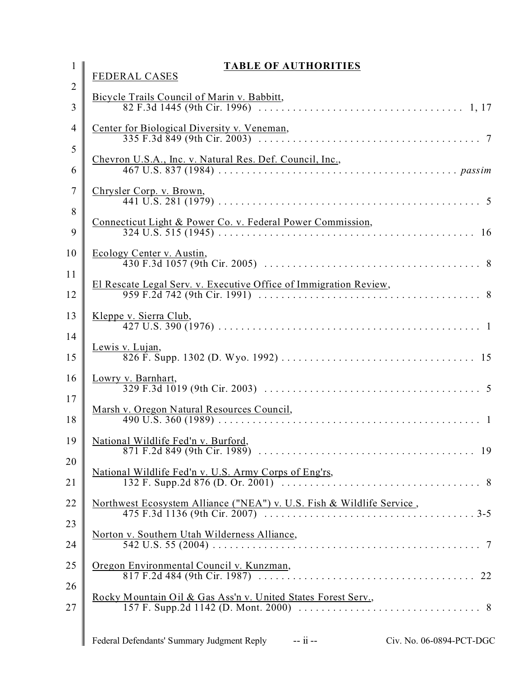|                     | <b>TABLE OF AUTHORITIES</b><br><b>FEDERAL CASES</b>                             |
|---------------------|---------------------------------------------------------------------------------|
| $\overline{2}$<br>3 | Bicycle Trails Council of Marin v. Babbitt,                                     |
| $\overline{4}$      | Center for Biological Diversity v. Veneman,                                     |
| 5<br>6              | Chevron U.S.A., Inc. v. Natural Res. Def. Council, Inc.,                        |
| $\overline{7}$      | Chrysler Corp. v. Brown,                                                        |
| 8<br>9              | Connecticut Light & Power Co. v. Federal Power Commission,                      |
| 10<br>11            | Ecology Center v. Austin,                                                       |
| 12                  | El Rescate Legal Serv. v. Executive Office of Immigration Review,               |
| 13<br>14            | Kleppe v. Sierra Club,                                                          |
| 15                  | Lewis v. Lujan,                                                                 |
| 16                  | Lowry v. Barnhart,                                                              |
| 17<br>18            |                                                                                 |
| 19<br>20            | National Wildlife Fed'n v. Burford,                                             |
| 21                  | National Wildlife Fed'n v. U.S. Army Corps of Eng'rs,                           |
| 22<br>23            | Northwest Ecosystem Alliance ("NEA") v. U.S. Fish & Wildlife Service,           |
| 24                  | Norton v. Southern Utah Wilderness Alliance,                                    |
| 25<br>26            | Oregon Environmental Council v. Kunzman,                                        |
| 27                  | Rocky Mountain Oil & Gas Ass'n v. United States Forest Serv.,                   |
|                     | Federal Defendants' Summary Judgment Reply -- ii --<br>Civ. No. 06-0894-PCT-DGC |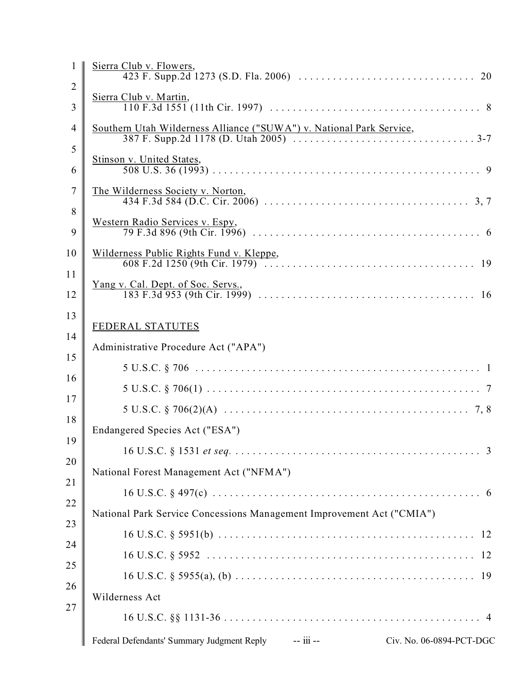|                     | Sierra Club v. Flowers,                                                          |
|---------------------|----------------------------------------------------------------------------------|
| $\overline{2}$<br>3 | Sierra Club v. Martin,                                                           |
| $\overline{4}$      | Southern Utah Wilderness Alliance ("SUWA") v. National Park Service,             |
| 5<br>6              | Stinson v. United States,                                                        |
| 7<br>8              | The Wilderness Society v. Norton,                                                |
| 9                   | Western Radio Services v. Espy,                                                  |
| 10<br>11            | Wilderness Public Rights Fund v. Kleppe,                                         |
| 12                  | <u>Yang v. Cal. Dept. of Soc. Servs.</u> ,                                       |
| 13<br>14            | <b>FEDERAL STATUTES</b>                                                          |
| 15                  | Administrative Procedure Act ("APA")                                             |
| 16                  |                                                                                  |
| 17                  |                                                                                  |
| 18                  |                                                                                  |
| 19                  | Endangered Species Act ("ESA")                                                   |
| 20                  |                                                                                  |
|                     | National Forest Management Act ("NFMA")                                          |
| 21                  |                                                                                  |
| 22                  | National Park Service Concessions Management Improvement Act ("CMIA")            |
| 23                  |                                                                                  |
| 24                  |                                                                                  |
| 25                  |                                                                                  |
| 26                  | Wilderness Act                                                                   |
| 27                  |                                                                                  |
|                     | Federal Defendants' Summary Judgment Reply -- iii --<br>Civ. No. 06-0894-PCT-DGC |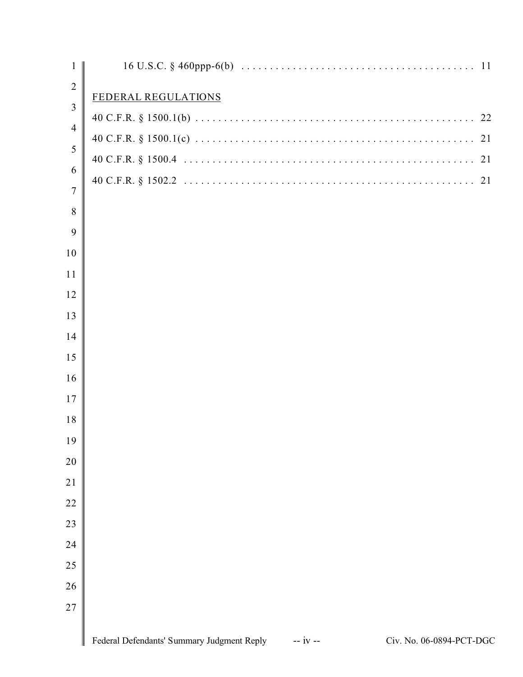| $\mathbf{1}$   |                                                                                      |
|----------------|--------------------------------------------------------------------------------------|
| $\overline{2}$ | FEDERAL REGULATIONS                                                                  |
| 3              |                                                                                      |
| $\overline{4}$ |                                                                                      |
| 5              |                                                                                      |
| 6              |                                                                                      |
| $\overline{7}$ |                                                                                      |
| $8\,$          |                                                                                      |
| 9              |                                                                                      |
| 10             |                                                                                      |
| 11             |                                                                                      |
| 12             |                                                                                      |
| 13             |                                                                                      |
| 14             |                                                                                      |
| 15             |                                                                                      |
| 16             |                                                                                      |
| 17             |                                                                                      |
| 18             |                                                                                      |
| 19             |                                                                                      |
| 20             |                                                                                      |
| 21             |                                                                                      |
| 22             |                                                                                      |
| 23             |                                                                                      |
| 24             |                                                                                      |
| 25             |                                                                                      |
| 26             |                                                                                      |
| 27             |                                                                                      |
|                | Federal Defendants' Summary Judgment Reply<br>Civ. No. 06-0894-PCT-DGC<br>$-$ iv $-$ |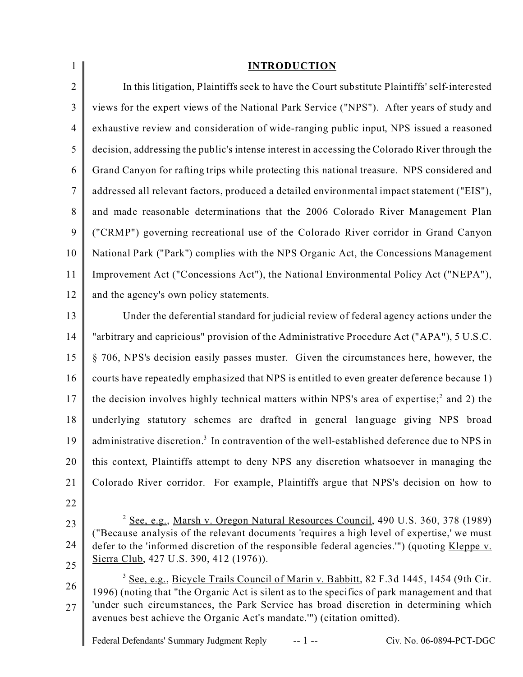| $\mathbf{1}$   | <b>INTRODUCTION</b>                                                                                                                                                                               |
|----------------|---------------------------------------------------------------------------------------------------------------------------------------------------------------------------------------------------|
| $\overline{2}$ | In this litigation, Plaintiffs seek to have the Court substitute Plaintiffs' self-interested                                                                                                      |
| 3              | views for the expert views of the National Park Service ("NPS"). After years of study and                                                                                                         |
| $\overline{4}$ | exhaustive review and consideration of wide-ranging public input, NPS issued a reasoned                                                                                                           |
| 5              | decision, addressing the public's intense interest in accessing the Colorado River through the                                                                                                    |
| 6              | Grand Canyon for rafting trips while protecting this national treasure. NPS considered and                                                                                                        |
| 7              | addressed all relevant factors, produced a detailed environmental impact statement ("EIS"),                                                                                                       |
| 8              | and made reasonable determinations that the 2006 Colorado River Management Plan                                                                                                                   |
| 9              | ("CRMP") governing recreational use of the Colorado River corridor in Grand Canyon                                                                                                                |
| 10             | National Park ("Park") complies with the NPS Organic Act, the Concessions Management                                                                                                              |
| 11             | Improvement Act ("Concessions Act"), the National Environmental Policy Act ("NEPA"),                                                                                                              |
| 12             | and the agency's own policy statements.                                                                                                                                                           |
| 13             | Under the deferential standard for judicial review of federal agency actions under the                                                                                                            |
| 14             | "arbitrary and capricious" provision of the Administrative Procedure Act ("APA"), 5 U.S.C.                                                                                                        |
| 15             | § 706, NPS's decision easily passes muster. Given the circumstances here, however, the                                                                                                            |
| 16             | courts have repeatedly emphasized that NPS is entitled to even greater deference because 1)                                                                                                       |
| 17             | the decision involves highly technical matters within NPS's area of expertise; <sup>2</sup> and 2) the                                                                                            |
| 18             | underlying statutory schemes are drafted in general language giving NPS broad                                                                                                                     |
| 19             | administrative discretion. <sup>3</sup> In contravention of the well-established deference due to NPS in                                                                                          |
| 20             | this context, Plaintiffs attempt to deny NPS any discretion whatsoever in managing the                                                                                                            |
| 21             | Colorado River corridor. For example, Plaintiffs argue that NPS's decision on how to                                                                                                              |
| 22             |                                                                                                                                                                                                   |
| 23             | <sup>2</sup> See, e.g., Marsh v. Oregon Natural Resources Council, 490 U.S. 360, 378 (1989)<br>("Because analysis of the relevant documents 'requires a high level of expertise,' we must         |
| 24             | defer to the 'informed discretion of the responsible federal agencies."") (quoting Kleppe v.                                                                                                      |
| 25             | Sierra Club, 427 U.S. 390, 412 (1976)).                                                                                                                                                           |
| 26             | <sup>3</sup> See, e.g., Bicycle Trails Council of Marin v. Babbitt, 82 F.3d 1445, 1454 (9th Cir.<br>1996) (noting that "the Organic Act is silent as to the specifics of park management and that |
| 27             | 'under such circumstances, the Park Service has broad discretion in determining which<br>avenues best achieve the Organic Act's mandate."") (citation omitted).                                   |
|                |                                                                                                                                                                                                   |

Federal Defendants' Summary Judgment Reply -- 1 -- Civ. No. 06-0894-PCT-DGC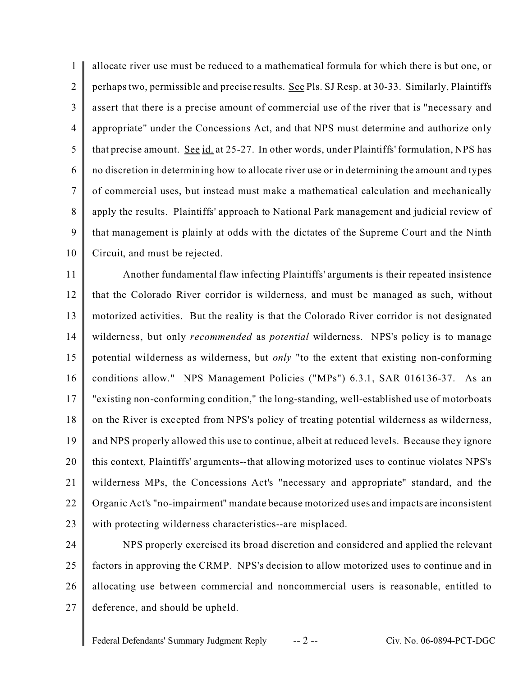1  $\mathfrak{D}$ 3 4 5 6 7 8 9 10 allocate river use must be reduced to a mathematical formula for which there is but one, or perhaps two, permissible and precise results. See Pls. SJ Resp. at 30-33. Similarly, Plaintiffs assert that there is a precise amount of commercial use of the river that is "necessary and appropriate" under the Concessions Act, and that NPS must determine and authorize only that precise amount. See id. at 25-27. In other words, under Plaintiffs' formulation, NPS has no discretion in determining how to allocate river use or in determining the amount and types of commercial uses, but instead must make a mathematical calculation and mechanically apply the results. Plaintiffs' approach to National Park management and judicial review of that management is plainly at odds with the dictates of the Supreme Court and the Ninth Circuit, and must be rejected.

11 12 13 14 15 16 17 18 19 20 21 22 23 Another fundamental flaw infecting Plaintiffs' arguments is their repeated insistence that the Colorado River corridor is wilderness, and must be managed as such, without motorized activities. But the reality is that the Colorado River corridor is not designated wilderness, but only *recommended* as *potential* wilderness. NPS's policy is to manage potential wilderness as wilderness, but *only* "to the extent that existing non-conforming conditions allow." NPS Management Policies ("MPs") 6.3.1, SAR 016136-37. As an "existing non-conforming condition," the long-standing, well-established use of motorboats on the River is excepted from NPS's policy of treating potential wilderness as wilderness, and NPS properly allowed this use to continue, albeit at reduced levels. Because they ignore this context, Plaintiffs' arguments--that allowing motorized uses to continue violates NPS's wilderness MPs, the Concessions Act's "necessary and appropriate" standard, and the Organic Act's "no-impairment" mandate because motorized uses and impacts are inconsistent with protecting wilderness characteristics--are misplaced.

24 25 26 27 NPS properly exercised its broad discretion and considered and applied the relevant factors in approving the CRMP. NPS's decision to allow motorized uses to continue and in allocating use between commercial and noncommercial users is reasonable, entitled to deference, and should be upheld.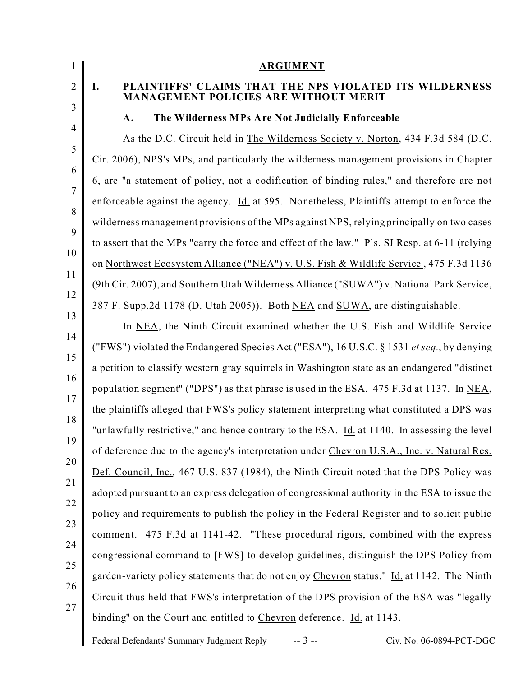| 1                   | <b>ARGUMENT</b>                                                                                               |
|---------------------|---------------------------------------------------------------------------------------------------------------|
| $\overline{2}$<br>3 | PLAINTIFFS' CLAIMS THAT THE NPS VIOLATED ITS WILDERNESS<br>Ι.<br><b>MANAGEMENT POLICIES ARE WITHOUT MERIT</b> |
| 4                   | The Wilderness MPs Are Not Judicially Enforceable<br>A.                                                       |
|                     | As the D.C. Circuit held in The Wilderness Society v. Norton, 434 F.3d 584 (D.C.                              |
|                     | Cir. 2006), NPS's MPs, and particularly the wilderness management provisions in Chapter                       |
|                     | 6, are "a statement of policy, not a codification of binding rules," and therefore are not                    |
|                     | enforceable against the agency. Id. at 595. Nonetheless, Plaintiffs attempt to enforce the                    |
|                     | wilderness management provisions of the MPs against NPS, relying principally on two cases                     |
|                     | to assert that the MPs "carry the force and effect of the law." Pls. SJ Resp. at 6-11 (relying                |
|                     | on Northwest Ecosystem Alliance ("NEA") v. U.S. Fish & Wildlife Service, 475 F.3d 1136                        |
|                     | (9th Cir. 2007), and Southern Utah Wilderness Alliance ("SUWA") v. National Park Service,                     |
|                     | 387 F. Supp.2d 1178 (D. Utah 2005)). Both NEA and SUWA, are distinguishable.                                  |
|                     | In NEA, the Ninth Circuit examined whether the U.S. Fish and Wildlife Service                                 |
|                     | ("FWS") violated the Endangered Species Act ("ESA"), 16 U.S.C. § 1531 et seq., by denying                     |
|                     | a petition to classify western gray squirrels in Washington state as an endangered "distinct"                 |
|                     | population segment" ("DPS") as that phrase is used in the ESA. 475 F.3d at 1137. In NEA,                      |
|                     | the plaintiffs alleged that FWS's policy statement interpreting what constituted a DPS was                    |
|                     | "unlawfully restrictive," and hence contrary to the ESA. Id. at 1140. In assessing the level                  |
|                     | of deference due to the agency's interpretation under Chevron U.S.A., Inc. v. Natural Res.                    |
|                     | Def. Council, Inc., 467 U.S. 837 (1984), the Ninth Circuit noted that the DPS Policy was                      |
|                     | adopted pursuant to an express delegation of congressional authority in the ESA to issue the                  |
|                     | policy and requirements to publish the policy in the Federal Register and to solicit public                   |
|                     | comment. 475 F.3d at 1141-42. "These procedural rigors, combined with the express                             |
|                     | congressional command to [FWS] to develop guidelines, distinguish the DPS Policy from                         |
|                     | garden-variety policy statements that do not enjoy Chevron status." Id. at 1142. The Ninth                    |
|                     | Circuit thus held that FWS's interpretation of the DPS provision of the ESA was "legally                      |
|                     | binding" on the Court and entitled to Chevron deference. Id. at 1143.                                         |
|                     | $-3 -$<br>Federal Defendants' Summary Judgment Reply<br>Civ. No. 06-0894-PCT-DGC                              |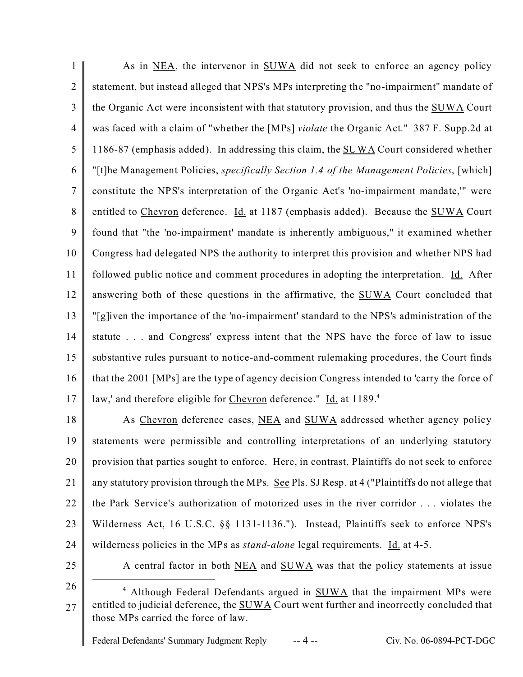1  $\overline{2}$ 3 4 5 6 7 8 9 10 11 12 13 14 15 16 17 As in NEA, the intervenor in SUWA did not seek to enforce an agency policy statement, but instead alleged that NPS's MPs interpreting the "no-impairment" mandate of the Organic Act were inconsistent with that statutory provision, and thus the SUWA Court was faced with a claim of "whether the [MPs] *violate* the Organic Act." 387 F. Supp.2d at 1186-87 (emphasis added). In addressing this claim, the SUWA Court considered whether "[t]he Management Policies, *specifically Section 1.4 of the Management Policies*, [which] constitute the NPS's interpretation of the Organic Act's 'no-impairment mandate,'" were entitled to Chevron deference. Id. at 1187 (emphasis added). Because the SUWA Court found that "the 'no-impairment' mandate is inherently ambiguous," it examined whether Congress had delegated NPS the authority to interpret this provision and whether NPS had followed public notice and comment procedures in adopting the interpretation. Id. After answering both of these questions in the affirmative, the SUWA Court concluded that "[g]iven the importance of the 'no-impairment' standard to the NPS's administration of the statute . . . and Congress' express intent that the NPS have the force of law to issue substantive rules pursuant to notice-and-comment rulemaking procedures, the Court finds that the 2001 [MPs] are the type of agency decision Congress intended to 'carry the force of law,' and therefore eligible for Chevron deference." Id. at 1189.<sup>4</sup>

18 19 20 21 22 23 24 As Chevron deference cases, NEA and SUWA addressed whether agency policy statements were permissible and controlling interpretations of an underlying statutory provision that parties sought to enforce. Here, in contrast, Plaintiffs do not seek to enforce any statutory provision through the MPs. See Pls. SJ Resp. at 4 ("Plaintiffs do not allege that the Park Service's authorization of motorized uses in the river corridor . . . violates the Wilderness Act, 16 U.S.C. §§ 1131-1136."). Instead, Plaintiffs seek to enforce NPS's wilderness policies in the MPs as *stand-alone* legal requirements. Id. at 4-5.

25

A central factor in both NEA and SUWA was that the policy statements at issue

<sup>27</sup> <sup>4</sup> Although Federal Defendants argued in **SUWA** that the impairment MPs were entitled to judicial deference, the SUWA Court went further and incorrectly concluded that those MPs carried the force of law.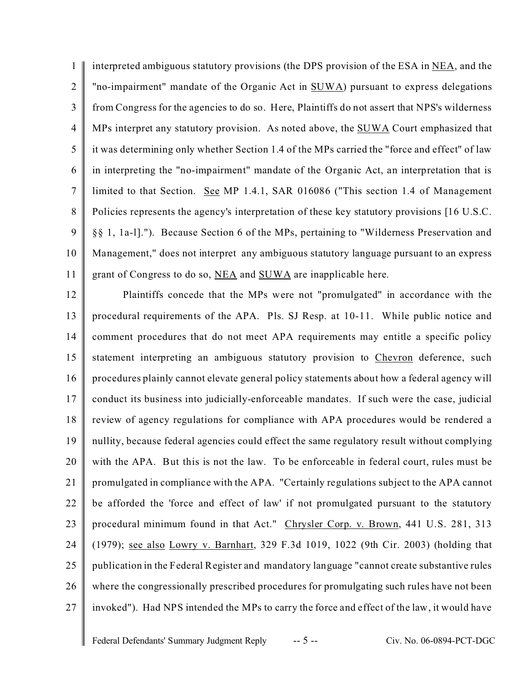1  $\mathfrak{D}$ 3 4 5 6 7 8 9 10 11 interpreted ambiguous statutory provisions (the DPS provision of the ESA in NEA, and the "no-impairment" mandate of the Organic Act in SUWA) pursuant to express delegations from Congress for the agencies to do so. Here, Plaintiffs do not assert that NPS's wilderness MPs interpret any statutory provision. As noted above, the SUWA Court emphasized that it was determining only whether Section 1.4 of the MPs carried the "force and effect" of law in interpreting the "no-impairment" mandate of the Organic Act, an interpretation that is limited to that Section. See MP 1.4.1, SAR 016086 ("This section 1.4 of Management Policies represents the agency's interpretation of these key statutory provisions [16 U.S.C. §§ 1, 1a-l]."). Because Section 6 of the MPs, pertaining to "Wilderness Preservation and Management," does not interpret any ambiguous statutory language pursuant to an express grant of Congress to do so, NEA and SUWA are inapplicable here.

12 13 14 15 16 17 18 19 20 21 22 23 24 25 26 27 Plaintiffs concede that the MPs were not "promulgated" in accordance with the procedural requirements of the APA. Pls. SJ Resp. at 10-11. While public notice and comment procedures that do not meet APA requirements may entitle a specific policy statement interpreting an ambiguous statutory provision to Chevron deference, such procedures plainly cannot elevate general policy statements about how a federal agency will conduct its business into judicially-enforceable mandates. If such were the case, judicial review of agency regulations for compliance with APA procedures would be rendered a nullity, because federal agencies could effect the same regulatory result without complying with the APA. But this is not the law. To be enforceable in federal court, rules must be promulgated in compliance with the APA. "Certainly regulations subject to the APA cannot be afforded the 'force and effect of law' if not promulgated pursuant to the statutory procedural minimum found in that Act." Chrysler Corp. v. Brown, 441 U.S. 281, 313 (1979); see also Lowry v. Barnhart, 329 F.3d 1019, 1022 (9th Cir. 2003) (holding that publication in the Federal Register and mandatory language "cannot create substantive rules where the congressionally prescribed procedures for promulgating such rules have not been invoked"). Had NPS intended the MPs to carry the force and effect of the law, it would have

Federal Defendants' Summary Judgment Reply -- 5 -- Civ. No. 06-0894-PCT-DGC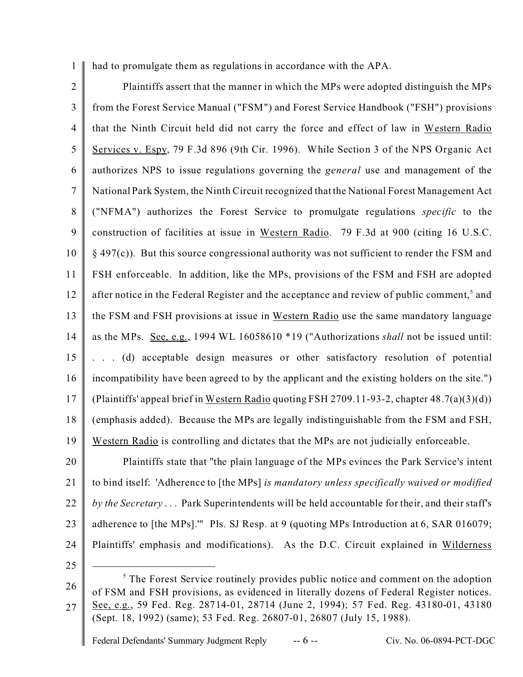1 had to promulgate them as regulations in accordance with the APA.

2 3 4 5 6 7 8 9 10 11 12 13 14 15 16 17 18 19 Plaintiffs assert that the manner in which the MPs were adopted distinguish the MPs from the Forest Service Manual ("FSM") and Forest Service Handbook ("FSH") provisions that the Ninth Circuit held did not carry the force and effect of law in Western Radio Services v. Espy, 79 F.3d 896 (9th Cir. 1996). While Section 3 of the NPS Organic Act authorizes NPS to issue regulations governing the *general* use and management of the National Park System, the Ninth Circuit recognized that the National Forest Management Act ("NFMA") authorizes the Forest Service to promulgate regulations *specific* to the construction of facilities at issue in Western Radio. 79 F.3d at 900 (citing 16 U.S.C. § 497(c)). But this source congressional authority was not sufficient to render the FSM and FSH enforceable. In addition, like the MPs, provisions of the FSM and FSH are adopted after notice in the Federal Register and the acceptance and review of public comment,<sup>5</sup> and the FSM and FSH provisions at issue in Western Radio use the same mandatory language as the MPs. See, e.g., 1994 WL 16058610 \*19 ("Authorizations *shall* not be issued until: . . . (d) acceptable design measures or other satisfactory resolution of potential incompatibility have been agreed to by the applicant and the existing holders on the site.") (Plaintiffs' appeal brief in Western Radio quoting FSH 2709.11-93-2, chapter 48.7(a)(3)(d)) (emphasis added). Because the MPs are legally indistinguishable from the FSM and FSH, Western Radio is controlling and dictates that the MPs are not judicially enforceable.

20 21 22 23 24 Plaintiffs state that "the plain language of the MPs evinces the Park Service's intent to bind itself: 'Adherence to [the MPs] *is mandatory unless specifically waived or modified by the Secretary* . . . Park Superintendents will be held accountable for their, and their staff's adherence to [the MPs].'" Pls. SJ Resp. at 9 (quoting MPs Introduction at 6, SAR 016079; Plaintiffs' emphasis and modifications). As the D.C. Circuit explained in Wilderness

<sup>26</sup> 27 <sup>5</sup> The Forest Service routinely provides public notice and comment on the adoption of FSM and FSH provisions, as evidenced in literally dozens of Federal Register notices. See, e.g., 59 Fed. Reg. 28714-01, 28714 (June 2, 1994); 57 Fed. Reg. 43180-01, 43180 (Sept. 18, 1992) (same); 53 Fed. Reg. 26807-01, 26807 (July 15, 1988).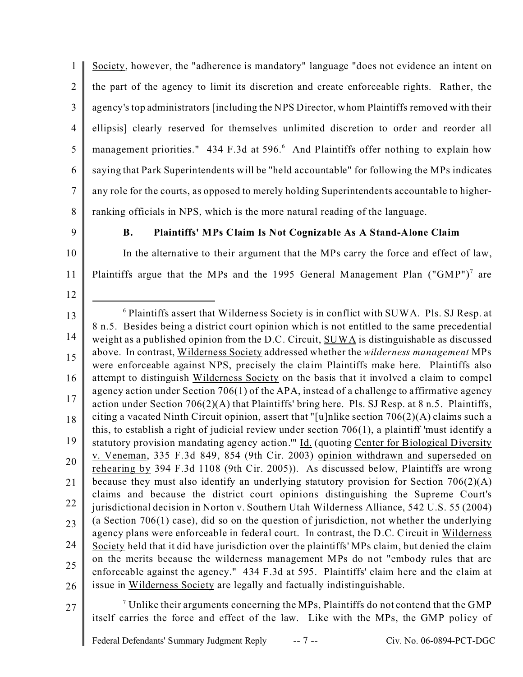1  $\overline{2}$ 3 4 5 6 7 8 Society, however, the "adherence is mandatory" language "does not evidence an intent on the part of the agency to limit its discretion and create enforceable rights. Rather, the agency's top administrators [including the NPS Director, whom Plaintiffs removed with their ellipsis] clearly reserved for themselves unlimited discretion to order and reorder all management priorities." 434 F.3d at 596.<sup>6</sup> And Plaintiffs offer nothing to explain how saying that Park Superintendents will be "held accountable" for following the MPs indicates any role for the courts, as opposed to merely holding Superintendents accountable to higherranking officials in NPS, which is the more natural reading of the language.

9

12

# **B. Plaintiffs' MPs Claim Is Not Cognizable As A Stand-Alone Claim**

10 11 In the alternative to their argument that the MPs carry the force and effect of law, Plaintiffs argue that the MPs and the 1995 General Management Plan  $($ "GMP" $)$ <sup>7</sup> are

- 13 14 15 16 17 18 19 20 21 22 23 24 25 26  $6$  Plaintiffs assert that Wilderness Society is in conflict with  $SUWA$ . Pls. SJ Resp. at 8 n.5. Besides being a district court opinion which is not entitled to the same precedential weight as a published opinion from the D.C. Circuit, SUWA is distinguishable as discussed above. In contrast, Wilderness Society addressed whether the *wilderness management* MPs were enforceable against NPS, precisely the claim Plaintiffs make here. Plaintiffs also attempt to distinguish Wilderness Society on the basis that it involved a claim to compel agency action under Section 706(1) of the APA, instead of a challenge to affirmative agency action under Section 706(2)(A) that Plaintiffs' bring here. Pls. SJ Resp. at 8 n.5. Plaintiffs, citing a vacated Ninth Circuit opinion, assert that "[u]nlike section 706(2)(A) claims such a this, to establish a right of judicial review under section 706(1), a plaintiff 'must identify a statutory provision mandating agency action."" Id. (quoting Center for Biological Diversity v. Veneman, 335 F.3d 849, 854 (9th Cir. 2003) opinion withdrawn and superseded on rehearing by 394 F.3d 1108 (9th Cir. 2005)). As discussed below, Plaintiffs are wrong because they must also identify an underlying statutory provision for Section 706(2)(A) claims and because the district court opinions distinguishing the Supreme Court's jurisdictional decision in Norton v. Southern Utah Wilderness Alliance, 542 U.S. 55 (2004) (a Section 706(1) case), did so on the question of jurisdiction, not whether the underlying agency plans were enforceable in federal court. In contrast, the D.C. Circuit in Wilderness Society held that it did have jurisdiction over the plaintiffs' MPs claim, but denied the claim on the merits because the wilderness management MPs do not "embody rules that are enforceable against the agency." 434 F.3d at 595. Plaintiffs' claim here and the claim at issue in Wilderness Society are legally and factually indistinguishable.
- 27

 $\sigma$  Unlike their arguments concerning the MPs, Plaintiffs do not contend that the GMP itself carries the force and effect of the law. Like with the MPs, the GMP policy of

Federal Defendants' Summary Judgment Reply -- 7 -- Civ. No. 06-0894-PCT-DGC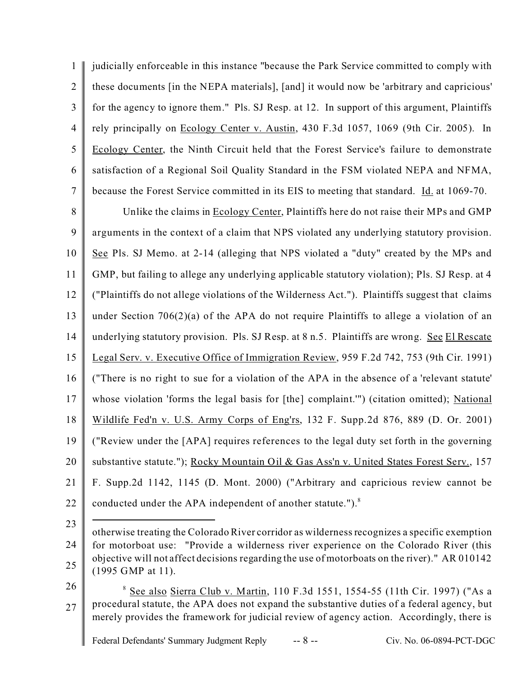1  $\mathfrak{D}$ 3 4 5 6 7 judicially enforceable in this instance "because the Park Service committed to comply with these documents [in the NEPA materials], [and] it would now be 'arbitrary and capricious' for the agency to ignore them." Pls. SJ Resp. at 12. In support of this argument, Plaintiffs rely principally on Ecology Center v. Austin, 430 F.3d 1057, 1069 (9th Cir. 2005). In Ecology Center, the Ninth Circuit held that the Forest Service's failure to demonstrate satisfaction of a Regional Soil Quality Standard in the FSM violated NEPA and NFMA, because the Forest Service committed in its EIS to meeting that standard. Id. at 1069-70.

8 9 10 11 12 13 14 15 16 17 18 19 20 21 22 Unlike the claims in Ecology Center, Plaintiffs here do not raise their MPs and GMP arguments in the context of a claim that NPS violated any underlying statutory provision. See Pls. SJ Memo. at 2-14 (alleging that NPS violated a "duty" created by the MPs and GMP, but failing to allege any underlying applicable statutory violation); Pls. SJ Resp. at 4 ("Plaintiffs do not allege violations of the Wilderness Act."). Plaintiffs suggest that claims under Section  $706(2)(a)$  of the APA do not require Plaintiffs to allege a violation of an underlying statutory provision. Pls. SJ Resp. at 8 n.5. Plaintiffs are wrong. See El Rescate Legal Serv. v. Executive Office of Immigration Review, 959 F.2d 742, 753 (9th Cir. 1991) ("There is no right to sue for a violation of the APA in the absence of a 'relevant statute' whose violation 'forms the legal basis for [the] complaint."") (citation omitted); National Wildlife Fed'n v. U.S. Army Corps of Eng'rs, 132 F. Supp.2d 876, 889 (D. Or. 2001) ("Review under the [APA] requires references to the legal duty set forth in the governing substantive statute."); Rocky Mountain Oil & Gas Ass'n v. United States Forest Serv., 157 F. Supp.2d 1142, 1145 (D. Mont. 2000) ("Arbitrary and capricious review cannot be conducted under the APA independent of another statute.").<sup>8</sup>

23

24 25 otherwise treating the Colorado River corridor as wilderness recognizes a specific exemption for motorboat use: "Provide a wilderness river experience on the Colorado River (this objective will not affect decisions regarding the use of motorboats on the river)." AR 010142 (1995 GMP at 11).

26

27 <sup>8</sup> See also Sierra Club v. Martin, 110 F.3d 1551, 1554-55 (11th Cir. 1997) ("As a procedural statute, the APA does not expand the substantive duties of a federal agency, but merely provides the framework for judicial review of agency action. Accordingly, there is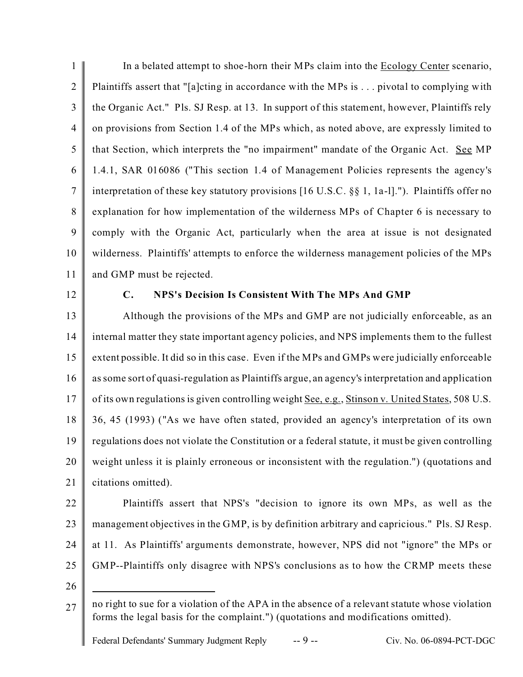1  $\overline{2}$ 3 4 5 6 7 8 9 10 11 In a belated attempt to shoe-horn their MPs claim into the Ecology Center scenario, Plaintiffs assert that "[a]cting in accordance with the MPs is . . . pivotal to complying with the Organic Act." Pls. SJ Resp. at 13. In support of this statement, however, Plaintiffs rely on provisions from Section 1.4 of the MPs which, as noted above, are expressly limited to that Section, which interprets the "no impairment" mandate of the Organic Act. See MP 1.4.1, SAR 016086 ("This section 1.4 of Management Policies represents the agency's interpretation of these key statutory provisions [16 U.S.C. §§ 1, 1a-l]."). Plaintiffs offer no explanation for how implementation of the wilderness MPs of Chapter 6 is necessary to comply with the Organic Act, particularly when the area at issue is not designated wilderness. Plaintiffs' attempts to enforce the wilderness management policies of the MPs and GMP must be rejected.

12

# **C. NPS's Decision Is Consistent With The MPs And GMP**

13 14 15 16 17 18 19 20 21 Although the provisions of the MPs and GMP are not judicially enforceable, as an internal matter they state important agency policies, and NPS implements them to the fullest extent possible. It did so in this case. Even if the MPs and GMPs were judicially enforceable as some sort of quasi-regulation as Plaintiffs argue, an agency's interpretation and application of its own regulations is given controlling weight See, e.g., Stinson v. United States, 508 U.S. 36, 45 (1993) ("As we have often stated, provided an agency's interpretation of its own regulations does not violate the Constitution or a federal statute, it must be given controlling weight unless it is plainly erroneous or inconsistent with the regulation.") (quotations and citations omitted).

- 22 23 24 25 Plaintiffs assert that NPS's "decision to ignore its own MPs, as well as the management objectives in the GMP, is by definition arbitrary and capricious." Pls. SJ Resp. at 11. As Plaintiffs' arguments demonstrate, however, NPS did not "ignore" the MPs or GMP--Plaintiffs only disagree with NPS's conclusions as to how the CRMP meets these
- 26

 $27 \parallel$  no right to sue for a violation of the APA in the absence of a relevant statute whose violation forms the legal basis for the complaint.") (quotations and modifications omitted).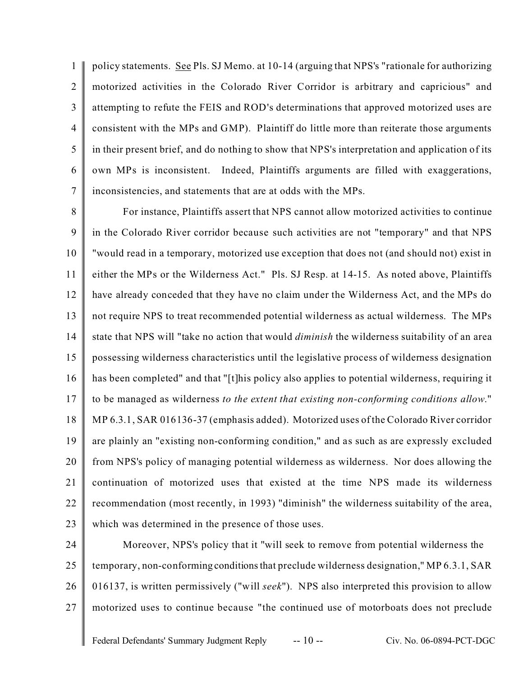1  $\mathfrak{D}$ 3 4 5 6 7 policy statements. See Pls. SJ Memo. at 10-14 (arguing that NPS's "rationale for authorizing motorized activities in the Colorado River Corridor is arbitrary and capricious" and attempting to refute the FEIS and ROD's determinations that approved motorized uses are consistent with the MPs and GMP). Plaintiff do little more than reiterate those arguments in their present brief, and do nothing to show that NPS's interpretation and application of its own MPs is inconsistent. Indeed, Plaintiffs arguments are filled with exaggerations, inconsistencies, and statements that are at odds with the MPs.

8 9 10 11 12 13 14 15 16 17 18 19 20 21 22 23 For instance, Plaintiffs assert that NPS cannot allow motorized activities to continue in the Colorado River corridor because such activities are not "temporary" and that NPS "would read in a temporary, motorized use exception that does not (and should not) exist in either the MPs or the Wilderness Act." Pls. SJ Resp. at 14-15. As noted above, Plaintiffs have already conceded that they have no claim under the Wilderness Act, and the MPs do not require NPS to treat recommended potential wilderness as actual wilderness. The MPs state that NPS will "take no action that would *diminish* the wilderness suitability of an area possessing wilderness characteristics until the legislative process of wilderness designation has been completed" and that "[t]his policy also applies to potential wilderness, requiring it to be managed as wilderness *to the extent that existing non-conforming conditions allow*." MP 6.3.1, SAR 016136-37 (emphasis added). Motorized uses of the Colorado River corridor are plainly an "existing non-conforming condition," and as such as are expressly excluded from NPS's policy of managing potential wilderness as wilderness. Nor does allowing the continuation of motorized uses that existed at the time NPS made its wilderness recommendation (most recently, in 1993) "diminish" the wilderness suitability of the area, which was determined in the presence of those uses.

24 25 26 27 Moreover, NPS's policy that it "will seek to remove from potential wilderness the temporary, non-conforming conditionsthat preclude wilderness designation," MP 6.3.1, SAR 016137, is written permissively ("will *seek*"). NPS also interpreted this provision to allow motorized uses to continue because "the continued use of motorboats does not preclude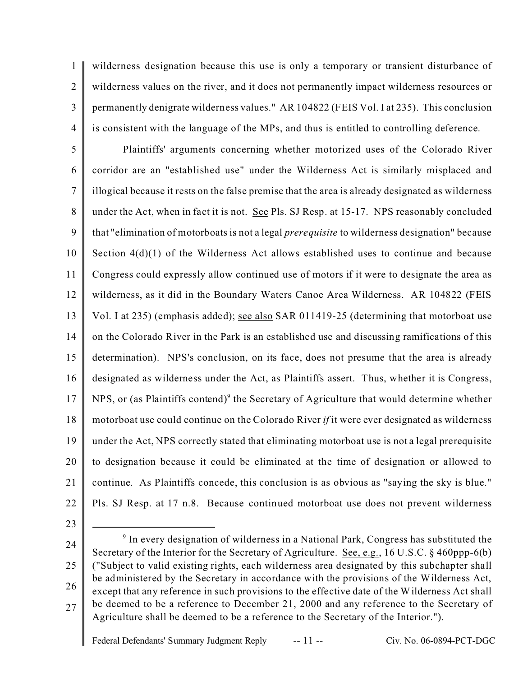1  $\overline{2}$ 3 4 wilderness designation because this use is only a temporary or transient disturbance of wilderness values on the river, and it does not permanently impact wilderness resources or permanently denigrate wilderness values." AR 104822 (FEIS Vol. I at 235). This conclusion is consistent with the language of the MPs, and thus is entitled to controlling deference.

5 6 7 8 9 10 11 12 13 14 15 16 17 18 19 20 21 22 Plaintiffs' arguments concerning whether motorized uses of the Colorado River corridor are an "established use" under the Wilderness Act is similarly misplaced and illogical because it rests on the false premise that the area is already designated as wilderness under the Act, when in fact it is not. See Pls. SJ Resp. at 15-17. NPS reasonably concluded that "elimination of motorboats is not a legal *prerequisite* to wilderness designation" because Section 4(d)(1) of the Wilderness Act allows established uses to continue and because Congress could expressly allow continued use of motors if it were to designate the area as wilderness, as it did in the Boundary Waters Canoe Area Wilderness. AR 104822 (FEIS Vol. I at 235) (emphasis added); see also SAR 011419-25 (determining that motorboat use on the Colorado River in the Park is an established use and discussing ramifications of this determination). NPS's conclusion, on its face, does not presume that the area is already designated as wilderness under the Act, as Plaintiffs assert. Thus, whether it is Congress, NPS, or (as Plaintiffs contend)<sup>9</sup> the Secretary of Agriculture that would determine whether motorboat use could continue on the Colorado River *if* it were ever designated as wilderness under the Act, NPS correctly stated that eliminating motorboat use is not a legal prerequisite to designation because it could be eliminated at the time of designation or allowed to continue. As Plaintiffs concede, this conclusion is as obvious as "saying the sky is blue." Pls. SJ Resp. at 17 n.8. Because continued motorboat use does not prevent wilderness

- 23
- 24

<sup>25</sup> 26 27 <sup>9</sup> In every designation of wilderness in a National Park, Congress has substituted the Secretary of the Interior for the Secretary of Agriculture. See, e.g., 16 U.S.C. § 460ppp-6(b) ("Subject to valid existing rights, each wilderness area designated by this subchapter shall be administered by the Secretary in accordance with the provisions of the Wilderness Act, except that any reference in such provisions to the effective date of the Wilderness Act shall be deemed to be a reference to December 21, 2000 and any reference to the Secretary of Agriculture shall be deemed to be a reference to the Secretary of the Interior.").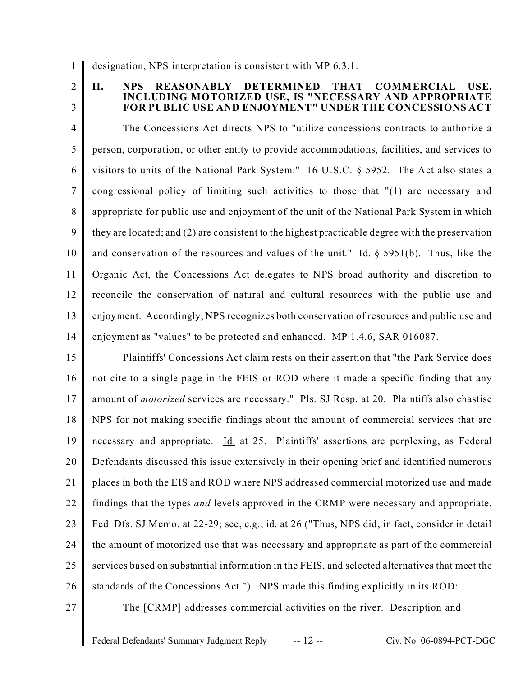1 designation, NPS interpretation is consistent with MP 6.3.1.

 $\mathfrak{D}$ 3

# **II. NPS REASONABLY DETERMINED THAT COMMERCIAL USE, INCLUDING MOTORIZED USE, IS "NECESSARY AND APPROPRIATE FOR PUBLIC USE AND ENJOYMENT" UNDER THE CONCESSIONS ACT**

4 5 6 7 8 9 10 11 12 13 14 The Concessions Act directs NPS to "utilize concessions contracts to authorize a person, corporation, or other entity to provide accommodations, facilities, and services to visitors to units of the National Park System." 16 U.S.C. § 5952. The Act also states a congressional policy of limiting such activities to those that "(1) are necessary and appropriate for public use and enjoyment of the unit of the National Park System in which they are located; and (2) are consistent to the highest practicable degree with the preservation and conservation of the resources and values of the unit." Id. § 5951(b). Thus, like the Organic Act, the Concessions Act delegates to NPS broad authority and discretion to reconcile the conservation of natural and cultural resources with the public use and enjoyment. Accordingly, NPS recognizes both conservation of resources and public use and enjoyment as "values" to be protected and enhanced. MP 1.4.6, SAR 016087.

15 16 17 18 19 20 21 22 23 24 25 26 Plaintiffs' Concessions Act claim rests on their assertion that "the Park Service does not cite to a single page in the FEIS or ROD where it made a specific finding that any amount of *motorized* services are necessary." Pls. SJ Resp. at 20. Plaintiffs also chastise NPS for not making specific findings about the amount of commercial services that are necessary and appropriate. Id. at 25. Plaintiffs' assertions are perplexing, as Federal Defendants discussed this issue extensively in their opening brief and identified numerous places in both the EIS and ROD where NPS addressed commercial motorized use and made findings that the types *and* levels approved in the CRMP were necessary and appropriate. Fed. Dfs. SJ Memo. at 22-29; see, e.g., id. at 26 ("Thus, NPS did, in fact, consider in detail the amount of motorized use that was necessary and appropriate as part of the commercial services based on substantial information in the FEIS, and selected alternatives that meet the standards of the Concessions Act."). NPS made this finding explicitly in its ROD:

27

The [CRMP] addresses commercial activities on the river. Description and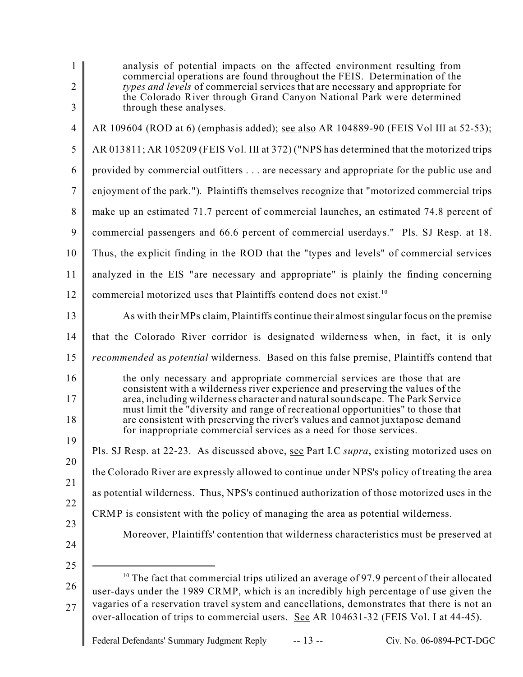| 1<br>$\overline{2}$<br>$\mathfrak{Z}$ | analysis of potential impacts on the affected environment resulting from<br>commercial operations are found throughout the FEIS. Determination of the<br>types and levels of commercial services that are necessary and appropriate for<br>the Colorado River through Grand Canyon National Park were determined<br>through these analyses.                                                                                                                                              |
|---------------------------------------|------------------------------------------------------------------------------------------------------------------------------------------------------------------------------------------------------------------------------------------------------------------------------------------------------------------------------------------------------------------------------------------------------------------------------------------------------------------------------------------|
| $\overline{4}$                        | AR 109604 (ROD at 6) (emphasis added); see also AR 104889-90 (FEIS Vol III at 52-53);                                                                                                                                                                                                                                                                                                                                                                                                    |
| $\mathfrak s$                         | AR 013811; AR 105209 (FEIS Vol. III at 372) ("NPS has determined that the motorized trips                                                                                                                                                                                                                                                                                                                                                                                                |
| 6                                     | provided by commercial outfitters are necessary and appropriate for the public use and                                                                                                                                                                                                                                                                                                                                                                                                   |
| $\tau$                                | enjoyment of the park."). Plaintiffs themselves recognize that "motorized commercial trips                                                                                                                                                                                                                                                                                                                                                                                               |
| 8                                     | make up an estimated 71.7 percent of commercial launches, an estimated 74.8 percent of                                                                                                                                                                                                                                                                                                                                                                                                   |
| 9                                     | commercial passengers and 66.6 percent of commercial userdays." Pls. SJ Resp. at 18.                                                                                                                                                                                                                                                                                                                                                                                                     |
| 10                                    | Thus, the explicit finding in the ROD that the "types and levels" of commercial services                                                                                                                                                                                                                                                                                                                                                                                                 |
| 11                                    | analyzed in the EIS "are necessary and appropriate" is plainly the finding concerning                                                                                                                                                                                                                                                                                                                                                                                                    |
| 12                                    | commercial motorized uses that Plaintiffs contend does not exist. <sup>10</sup>                                                                                                                                                                                                                                                                                                                                                                                                          |
| 13                                    | As with their MPs claim, Plaintiffs continue their almost singular focus on the premise                                                                                                                                                                                                                                                                                                                                                                                                  |
| 14                                    | that the Colorado River corridor is designated wilderness when, in fact, it is only                                                                                                                                                                                                                                                                                                                                                                                                      |
| 15                                    | recommended as potential wilderness. Based on this false premise, Plaintiffs contend that                                                                                                                                                                                                                                                                                                                                                                                                |
| 16<br>17<br>18                        | the only necessary and appropriate commercial services are those that are<br>consistent with a wilderness river experience and preserving the values of the<br>area, including wilderness character and natural soundscape. The Park Service<br>must limit the "diversity and range of recreational opportunities" to those that<br>are consistent with preserving the river's values and cannot juxtapose demand<br>for inappropriate commercial services as a need for those services. |
| 19                                    | Pls. SJ Resp. at 22-23. As discussed above, see Part I.C supra, existing motorized uses on                                                                                                                                                                                                                                                                                                                                                                                               |
| 20                                    | the Colorado River are expressly allowed to continue under NPS's policy of treating the area                                                                                                                                                                                                                                                                                                                                                                                             |
| 21                                    | as potential wilderness. Thus, NPS's continued authorization of those motorized uses in the                                                                                                                                                                                                                                                                                                                                                                                              |
| 22                                    | CRMP is consistent with the policy of managing the area as potential wilderness.                                                                                                                                                                                                                                                                                                                                                                                                         |
| 23<br>24                              | Moreover, Plaintiffs' contention that wilderness characteristics must be preserved at                                                                                                                                                                                                                                                                                                                                                                                                    |
| 25<br>26<br>27                        | <sup>10</sup> The fact that commercial trips utilized an average of 97.9 percent of their allocated<br>user-days under the 1989 CRMP, which is an incredibly high percentage of use given the<br>vagaries of a reservation travel system and cancellations, demonstrates that there is not an<br>over-allocation of trips to commercial users. See AR 104631-32 (FEIS Vol. I at 44-45).                                                                                                  |
|                                       | $-13 -$<br>Federal Defendants' Summary Judgment Reply<br>Civ. No. 06-0894-PCT-DGC                                                                                                                                                                                                                                                                                                                                                                                                        |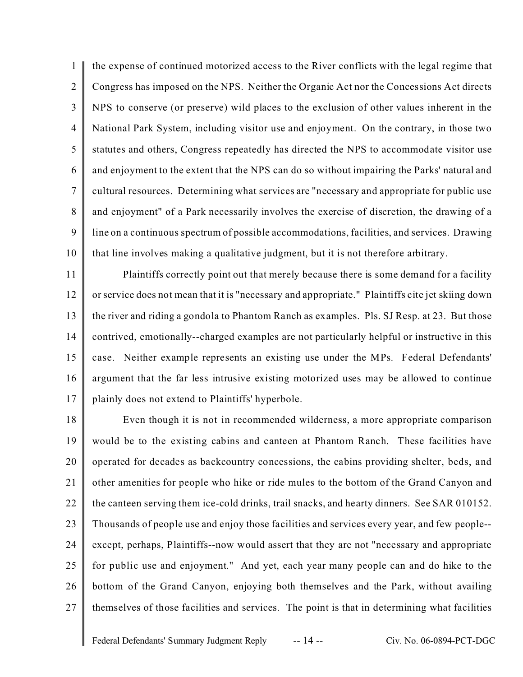1  $\mathfrak{D}$ 3 4 5 6 7 8 9 10 the expense of continued motorized access to the River conflicts with the legal regime that Congress has imposed on the NPS. Neither the Organic Act nor the Concessions Act directs NPS to conserve (or preserve) wild places to the exclusion of other values inherent in the National Park System, including visitor use and enjoyment. On the contrary, in those two statutes and others, Congress repeatedly has directed the NPS to accommodate visitor use and enjoyment to the extent that the NPS can do so without impairing the Parks' natural and cultural resources. Determining what services are "necessary and appropriate for public use and enjoyment" of a Park necessarily involves the exercise of discretion, the drawing of a line on a continuous spectrum of possible accommodations, facilities, and services. Drawing that line involves making a qualitative judgment, but it is not therefore arbitrary.

11 12 13 14 15 16 17 Plaintiffs correctly point out that merely because there is some demand for a facility or service does not mean that it is "necessary and appropriate." Plaintiffs cite jet skiing down the river and riding a gondola to Phantom Ranch as examples. Pls. SJ Resp. at 23. But those contrived, emotionally--charged examples are not particularly helpful or instructive in this case. Neither example represents an existing use under the MPs. Federal Defendants' argument that the far less intrusive existing motorized uses may be allowed to continue plainly does not extend to Plaintiffs' hyperbole.

18 19 20 21 22 23 24 25 26 27 Even though it is not in recommended wilderness, a more appropriate comparison would be to the existing cabins and canteen at Phantom Ranch. These facilities have operated for decades as backcountry concessions, the cabins providing shelter, beds, and other amenities for people who hike or ride mules to the bottom of the Grand Canyon and the canteen serving them ice-cold drinks, trail snacks, and hearty dinners. See SAR 010152. Thousands of people use and enjoy those facilities and services every year, and few people- except, perhaps, Plaintiffs--now would assert that they are not "necessary and appropriate for public use and enjoyment." And yet, each year many people can and do hike to the bottom of the Grand Canyon, enjoying both themselves and the Park, without availing themselves of those facilities and services. The point is that in determining what facilities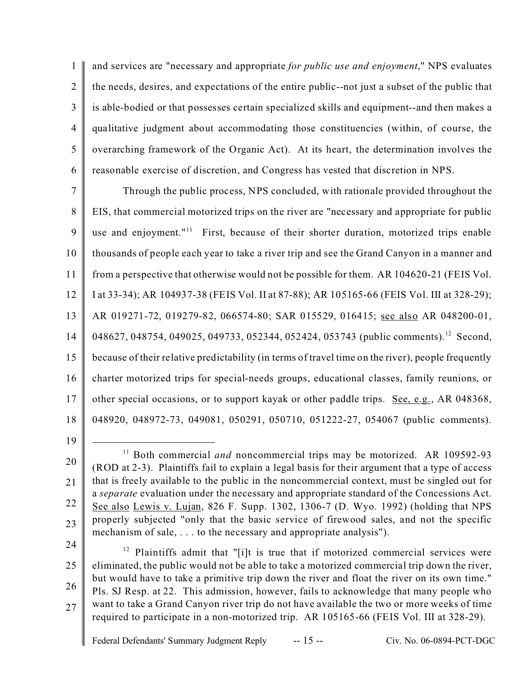1  $\overline{2}$ 3 4 5 6 and services are "necessary and appropriate *for public use and enjoyment*," NPS evaluates the needs, desires, and expectations of the entire public--not just a subset of the public that is able-bodied or that possesses certain specialized skills and equipment--and then makes a qualitative judgment about accommodating those constituencies (within, of course, the overarching framework of the Organic Act). At its heart, the determination involves the reasonable exercise of discretion, and Congress has vested that discretion in NPS.

7 8 9 10 11 12 13 14 15 16 17 18 Through the public process, NPS concluded, with rationale provided throughout the EIS, that commercial motorized trips on the river are "necessary and appropriate for public use and enjoyment."<sup>11</sup> First, because of their shorter duration, motorized trips enable thousands of people each year to take a river trip and see the Grand Canyon in a manner and from a perspective that otherwise would not be possible for them. AR 104620-21 (FEIS Vol. I at 33-34); AR 104937-38 (FEIS Vol. II at 87-88); AR 105165-66 (FEIS Vol. III at 328-29); AR 019271-72, 019279-82, 066574-80; SAR 015529, 016415; see also AR 048200-01, 048627, 048754, 049025, 049733, 052344, 052424, 053743 (public comments).<sup>12</sup> Second, because of their relative predictability (in terms of travel time on the river), people frequently charter motorized trips for special-needs groups, educational classes, family reunions, or other special occasions, or to support kayak or other paddle trips. See, e.g., AR 048368, 048920, 048972-73, 049081, 050291, 050710, 051222-27, 054067 (public comments).

19

24

25 26 27  $12$  Plaintiffs admit that "[i]t is true that if motorized commercial services were eliminated, the public would not be able to take a motorized commercial trip down the river, but would have to take a primitive trip down the river and float the river on its own time." Pls. SJ Resp. at 22. This admission, however, fails to acknowledge that many people who want to take a Grand Canyon river trip do not have available the two or more weeks of time required to participate in a non-motorized trip. AR 105165-66 (FEIS Vol. III at 328-29).

<sup>20</sup> 21 22 23 <sup>11</sup> Both commercial *and* noncommercial trips may be motorized. AR 109592-93 (ROD at 2-3). Plaintiffs fail to explain a legal basis for their argument that a type of access that is freely available to the public in the noncommercial context, must be singled out for a *separate* evaluation under the necessary and appropriate standard of the Concessions Act. See also Lewis v. Lujan, 826 F. Supp. 1302, 1306-7 (D. Wyo. 1992) (holding that NPS properly subjected "only that the basic service of firewood sales, and not the specific mechanism of sale, . . . to the necessary and appropriate analysis").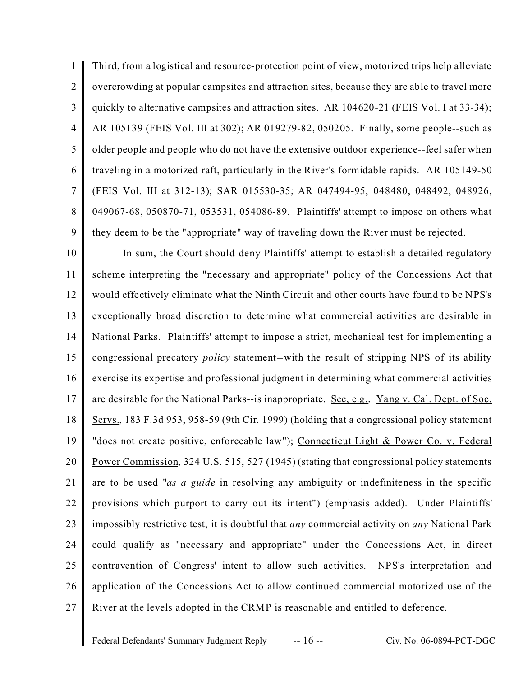1  $\mathfrak{D}$ 3 4 5 6 7 8 9 Third, from a logistical and resource-protection point of view, motorized trips help alleviate overcrowding at popular campsites and attraction sites, because they are able to travel more quickly to alternative campsites and attraction sites. AR 104620-21 (FEIS Vol. I at 33-34); AR 105139 (FEIS Vol. III at 302); AR 019279-82, 050205. Finally, some people--such as older people and people who do not have the extensive outdoor experience--feel safer when traveling in a motorized raft, particularly in the River's formidable rapids. AR 105149-50 (FEIS Vol. III at 312-13); SAR 015530-35; AR 047494-95, 048480, 048492, 048926, 049067-68, 050870-71, 053531, 054086-89. Plaintiffs' attempt to impose on others what they deem to be the "appropriate" way of traveling down the River must be rejected.

10 11 12 13 14 15 16 17 18 19 20 21 22 23 24 25 26 27 In sum, the Court should deny Plaintiffs' attempt to establish a detailed regulatory scheme interpreting the "necessary and appropriate" policy of the Concessions Act that would effectively eliminate what the Ninth Circuit and other courts have found to be NPS's exceptionally broad discretion to determine what commercial activities are desirable in National Parks. Plaintiffs' attempt to impose a strict, mechanical test for implementing a congressional precatory *policy* statement--with the result of stripping NPS of its ability exercise its expertise and professional judgment in determining what commercial activities are desirable for the National Parks--is inappropriate. See, e.g., Yang v. Cal. Dept. of Soc. Servs., 183 F.3d 953, 958-59 (9th Cir. 1999) (holding that a congressional policy statement "does not create positive, enforceable law"); Connecticut Light & Power Co. v. Federal Power Commission, 324 U.S. 515, 527 (1945) (stating that congressional policy statements are to be used "*as a guide* in resolving any ambiguity or indefiniteness in the specific provisions which purport to carry out its intent") (emphasis added). Under Plaintiffs' impossibly restrictive test, it is doubtful that *any* commercial activity on *any* National Park could qualify as "necessary and appropriate" under the Concessions Act, in direct contravention of Congress' intent to allow such activities. NPS's interpretation and application of the Concessions Act to allow continued commercial motorized use of the River at the levels adopted in the CRMP is reasonable and entitled to deference.

Federal Defendants' Summary Judgment Reply -- 16 -- Civ. No. 06-0894-PCT-DGC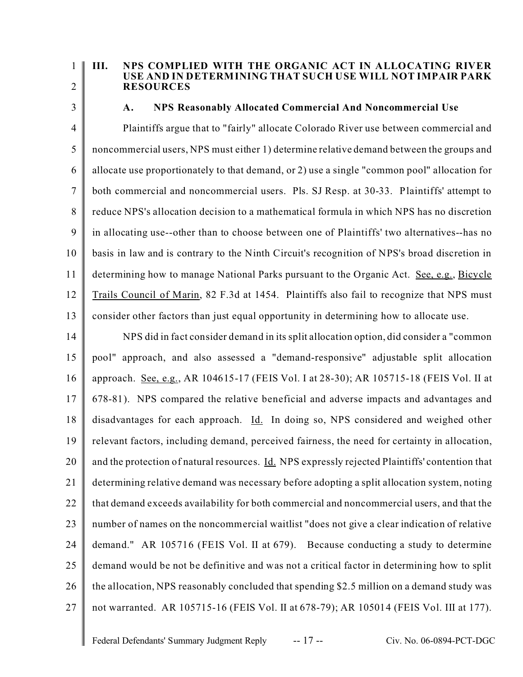1

#### **III. NPS COMPLIED WITH THE ORGANIC ACT IN ALLOCATING RIVER USE AND IN DETERMINING THAT SUCH USE WILL NOT IMPAIR PARK RESOURCES**

3

 $\mathfrak{D}$ 

# **A. NPS Reasonably Allocated Commercial And Noncommercial Use**

4 5 6 7 8 9 10 11 12 13 Plaintiffs argue that to "fairly" allocate Colorado River use between commercial and noncommercial users, NPS must either 1) determine relative demand between the groups and allocate use proportionately to that demand, or 2) use a single "common pool" allocation for both commercial and noncommercial users. Pls. SJ Resp. at 30-33. Plaintiffs' attempt to reduce NPS's allocation decision to a mathematical formula in which NPS has no discretion in allocating use--other than to choose between one of Plaintiffs' two alternatives--has no basis in law and is contrary to the Ninth Circuit's recognition of NPS's broad discretion in determining how to manage National Parks pursuant to the Organic Act. See, e.g., Bicycle Trails Council of Marin, 82 F.3d at 1454. Plaintiffs also fail to recognize that NPS must consider other factors than just equal opportunity in determining how to allocate use.

14 15 16 17 18 19 20 21 22 23 24 25 26 27 NPS did in fact consider demand in its split allocation option, did consider a "common pool" approach, and also assessed a "demand-responsive" adjustable split allocation approach. See, e.g., AR 104615-17 (FEIS Vol. I at 28-30); AR 105715-18 (FEIS Vol. II at 678-81). NPS compared the relative beneficial and adverse impacts and advantages and disadvantages for each approach. Id. In doing so, NPS considered and weighed other relevant factors, including demand, perceived fairness, the need for certainty in allocation, and the protection of natural resources. Id. NPS expressly rejected Plaintiffs' contention that determining relative demand was necessary before adopting a split allocation system, noting that demand exceeds availability for both commercial and noncommercial users, and that the number of names on the noncommercial waitlist "does not give a clear indication of relative demand." AR 105716 (FEIS Vol. II at 679). Because conducting a study to determine demand would be not be definitive and was not a critical factor in determining how to split the allocation, NPS reasonably concluded that spending \$2.5 million on a demand study was not warranted. AR 105715-16 (FEIS Vol. II at 678-79); AR 105014 (FEIS Vol. III at 177).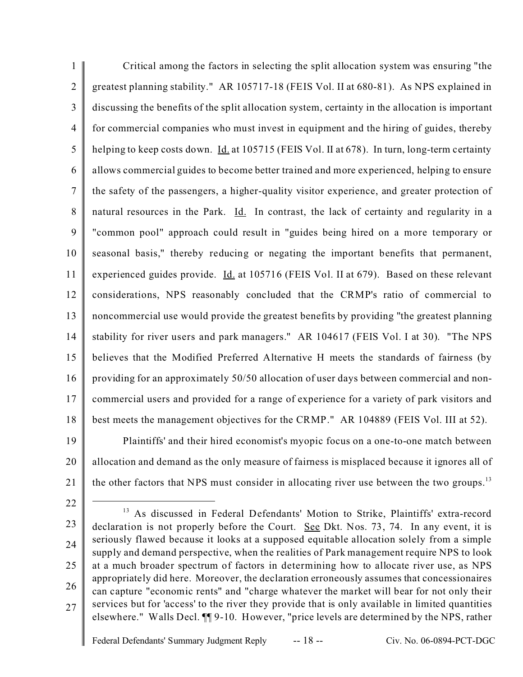1  $\overline{2}$ 3 4 5 6 7 8 9 10 11 12 13 14 15 16 17 18 19 Critical among the factors in selecting the split allocation system was ensuring "the greatest planning stability." AR 105717-18 (FEIS Vol. II at 680-81). As NPS explained in discussing the benefits of the split allocation system, certainty in the allocation is important for commercial companies who must invest in equipment and the hiring of guides, thereby helping to keep costs down. *Id.* at 105715 (FEIS Vol. II at 678). In turn, long-term certainty allows commercial guides to become better trained and more experienced, helping to ensure the safety of the passengers, a higher-quality visitor experience, and greater protection of natural resources in the Park. Id. In contrast, the lack of certainty and regularity in a "common pool" approach could result in "guides being hired on a more temporary or seasonal basis," thereby reducing or negating the important benefits that permanent, experienced guides provide. Id. at 105716 (FEIS Vol. II at 679). Based on these relevant considerations, NPS reasonably concluded that the CRMP's ratio of commercial to noncommercial use would provide the greatest benefits by providing "the greatest planning stability for river users and park managers." AR 104617 (FEIS Vol. I at 30). "The NPS believes that the Modified Preferred Alternative H meets the standards of fairness (by providing for an approximately 50/50 allocation of user days between commercial and noncommercial users and provided for a range of experience for a variety of park visitors and best meets the management objectives for the CRMP." AR 104889 (FEIS Vol. III at 52).

20 21 Plaintiffs' and their hired economist's myopic focus on a one-to-one match between allocation and demand as the only measure of fairness is misplaced because it ignores all of the other factors that NPS must consider in allocating river use between the two groups.<sup>13</sup>

22

23 24 25 26 27 <sup>13</sup> As discussed in Federal Defendants' Motion to Strike, Plaintiffs' extra-record declaration is not properly before the Court. See Dkt. Nos. 73, 74. In any event, it is seriously flawed because it looks at a supposed equitable allocation solely from a simple supply and demand perspective, when the realities of Park management require NPS to look at a much broader spectrum of factors in determining how to allocate river use, as NPS appropriately did here. Moreover, the declaration erroneously assumes that concessionaires can capture "economic rents" and "charge whatever the market will bear for not only their services but for 'access' to the river they provide that is only available in limited quantities elsewhere." Walls Decl. ¶¶ 9-10. However, "price levels are determined by the NPS, rather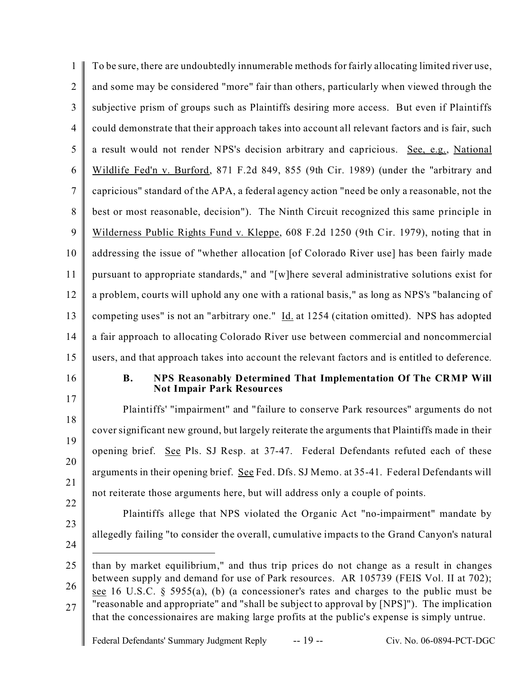| 1              | To be sure, there are undoubtedly innumerable methods for fairly allocating limited river use,                                                                                                                                                                                                                                                                                                                                                                         |
|----------------|------------------------------------------------------------------------------------------------------------------------------------------------------------------------------------------------------------------------------------------------------------------------------------------------------------------------------------------------------------------------------------------------------------------------------------------------------------------------|
| $\overline{2}$ | and some may be considered "more" fair than others, particularly when viewed through the                                                                                                                                                                                                                                                                                                                                                                               |
| 3              | subjective prism of groups such as Plaintiffs desiring more access. But even if Plaintiffs                                                                                                                                                                                                                                                                                                                                                                             |
| 4              | could demonstrate that their approach takes into account all relevant factors and is fair, such                                                                                                                                                                                                                                                                                                                                                                        |
| 5              | a result would not render NPS's decision arbitrary and capricious. See, e.g., National                                                                                                                                                                                                                                                                                                                                                                                 |
| 6              | Wildlife Fed'n v. Burford, 871 F.2d 849, 855 (9th Cir. 1989) (under the "arbitrary and                                                                                                                                                                                                                                                                                                                                                                                 |
| 7              | capricious" standard of the APA, a federal agency action "need be only a reasonable, not the                                                                                                                                                                                                                                                                                                                                                                           |
| 8              | best or most reasonable, decision"). The Ninth Circuit recognized this same principle in                                                                                                                                                                                                                                                                                                                                                                               |
| 9              | Wilderness Public Rights Fund v. Kleppe, 608 F.2d 1250 (9th Cir. 1979), noting that in                                                                                                                                                                                                                                                                                                                                                                                 |
| 10             | addressing the issue of "whether allocation [of Colorado River use] has been fairly made                                                                                                                                                                                                                                                                                                                                                                               |
| 11             | pursuant to appropriate standards," and "[w]here several administrative solutions exist for                                                                                                                                                                                                                                                                                                                                                                            |
| 12             | a problem, courts will uphold any one with a rational basis," as long as NPS's "balancing of                                                                                                                                                                                                                                                                                                                                                                           |
| 13             | competing uses" is not an "arbitrary one." Id. at 1254 (citation omitted). NPS has adopted                                                                                                                                                                                                                                                                                                                                                                             |
| 14             | a fair approach to allocating Colorado River use between commercial and noncommercial                                                                                                                                                                                                                                                                                                                                                                                  |
| 15             | users, and that approach takes into account the relevant factors and is entitled to deference.                                                                                                                                                                                                                                                                                                                                                                         |
| 16<br>17       | NPS Reasonably Determined That Implementation Of The CRMP Will<br><b>B.</b><br><b>Not Impair Park Resources</b>                                                                                                                                                                                                                                                                                                                                                        |
| 18             | Plaintiffs' "impairment" and "failure to conserve Park resources" arguments do not                                                                                                                                                                                                                                                                                                                                                                                     |
| 19             | cover significant new ground, but largely reiterate the arguments that Plaintiffs made in their                                                                                                                                                                                                                                                                                                                                                                        |
| 20             | opening brief. See Pls. SJ Resp. at 37-47. Federal Defendants refuted each of these                                                                                                                                                                                                                                                                                                                                                                                    |
| 21             | arguments in their opening brief. See Fed. Dfs. SJ Memo. at 35-41. Federal Defendants will                                                                                                                                                                                                                                                                                                                                                                             |
| 22             | not reiterate those arguments here, but will address only a couple of points.                                                                                                                                                                                                                                                                                                                                                                                          |
| 23             | Plaintiffs allege that NPS violated the Organic Act "no-impairment" mandate by                                                                                                                                                                                                                                                                                                                                                                                         |
| 24             | allegedly failing "to consider the overall, cumulative impacts to the Grand Canyon's natural                                                                                                                                                                                                                                                                                                                                                                           |
| 25<br>26<br>27 | than by market equilibrium," and thus trip prices do not change as a result in changes<br>between supply and demand for use of Park resources. AR 105739 (FEIS Vol. II at 702);<br>see 16 U.S.C. § 5955(a), (b) (a concessioner's rates and charges to the public must be<br>"reasonable and appropriate" and "shall be subject to approval by [NPS]"). The implication<br>that the concessionaires are making large profits at the public's expense is simply untrue. |
|                | $-19-$<br>Federal Defendants' Summary Judgment Reply<br>Civ. No. 06-0894-PCT-DGC                                                                                                                                                                                                                                                                                                                                                                                       |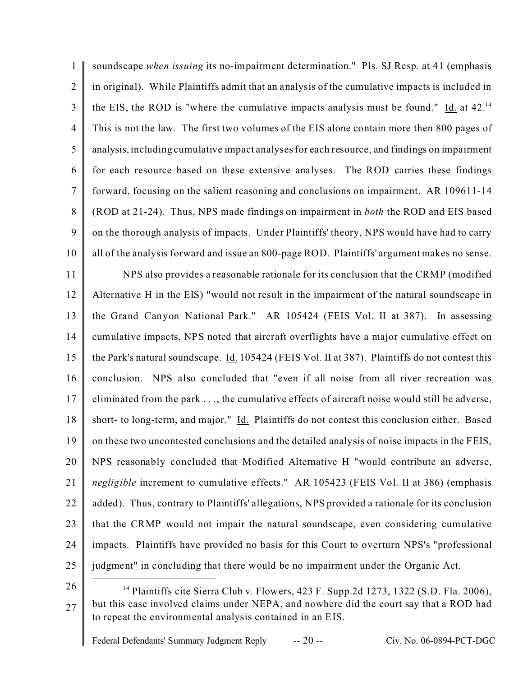1 2 3 4 5 6 7 8 9 10 11 12 13 14 15 16 17 18 19 20 21 22 23 24 25 soundscape *when issuing* its no-impairment determination." Pls. SJ Resp. at 41 (emphasis in original). While Plaintiffs admit that an analysis of the cumulative impacts is included in the EIS, the ROD is "where the cumulative impacts analysis must be found." Id. at  $42.^{14}$ This is not the law. The first two volumes of the EIS alone contain more then 800 pages of analysis, including cumulative impact analyses for each resource, and findings on impairment for each resource based on these extensive analyses. The ROD carries these findings forward, focusing on the salient reasoning and conclusions on impairment. AR 109611-14 (ROD at 21-24). Thus, NPS made findings on impairment in *both* the ROD and EIS based on the thorough analysis of impacts. Under Plaintiffs' theory, NPS would have had to carry all of the analysis forward and issue an 800-page ROD. Plaintiffs' argument makes no sense. NPS also provides a reasonable rationale for its conclusion that the CRMP (modified Alternative H in the EIS) "would not result in the impairment of the natural soundscape in the Grand Canyon National Park." AR 105424 (FEIS Vol. II at 387). In assessing cumulative impacts, NPS noted that aircraft overflights have a major cumulative effect on the Park's natural soundscape. Id. 105424 (FEIS Vol. II at 387). Plaintiffs do not contest this conclusion. NPS also concluded that "even if all noise from all river recreation was eliminated from the park . . ., the cumulative effects of aircraft noise would still be adverse, short- to long-term, and major." Id. Plaintiffs do not contest this conclusion either. Based on these two uncontested conclusions and the detailed analysis of noise impacts in the FEIS, NPS reasonably concluded that Modified Alternative H "would contribute an adverse, *negligible* increment to cumulative effects." AR 105423 (FEIS Vol. II at 386) (emphasis added). Thus, contrary to Plaintiffs' allegations, NPS provided a rationale for its conclusion that the CRMP would not impair the natural soundscape, even considering cumulative impacts. Plaintiffs have provided no basis for this Court to overturn NPS's "professional judgment" in concluding that there would be no impairment under the Organic Act.

26

<sup>&</sup>lt;sup>14</sup> Plaintiffs cite Sierra Club v. Flowers, 423 F. Supp.2d 1273, 1322 (S.D. Fla. 2006), but this case involved claims under NEPA, and nowhere did the court say that a ROD had to repeat the environmental analysis contained in an EIS.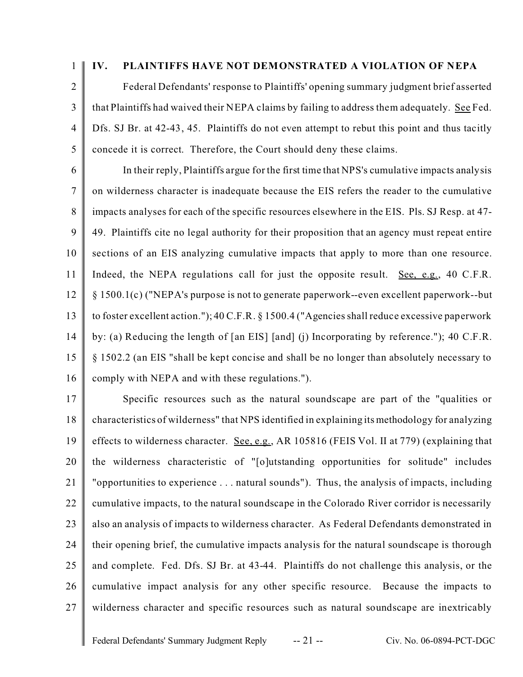1

### **IV. PLAINTIFFS HAVE NOT DEMONSTRATED A VIOLATION OF NEPA**

 $\overline{2}$ 3 4 5 Federal Defendants' response to Plaintiffs' opening summary judgment brief asserted that Plaintiffs had waived their NEPA claims by failing to address them adequately. See Fed. Dfs. SJ Br. at 42-43, 45. Plaintiffs do not even attempt to rebut this point and thus tacitly concede it is correct. Therefore, the Court should deny these claims.

6 7 8 9 10 11 12 13 14 15 16 In their reply, Plaintiffs argue for the first time that NPS's cumulative impacts analysis on wilderness character is inadequate because the EIS refers the reader to the cumulative impacts analyses for each of the specific resources elsewhere in the EIS. Pls. SJ Resp. at 47- 49. Plaintiffs cite no legal authority for their proposition that an agency must repeat entire sections of an EIS analyzing cumulative impacts that apply to more than one resource. Indeed, the NEPA regulations call for just the opposite result. See, e.g., 40 C.F.R. § 1500.1(c) ("NEPA's purpose is not to generate paperwork--even excellent paperwork--but to foster excellent action."); 40 C.F.R. § 1500.4 ("Agencies shall reduce excessive paperwork by: (a) Reducing the length of [an EIS] [and] (j) Incorporating by reference."); 40 C.F.R. § 1502.2 (an EIS "shall be kept concise and shall be no longer than absolutely necessary to comply with NEPA and with these regulations.").

17 18 19 20 21 22 23 24 25 26 27 Specific resources such as the natural soundscape are part of the "qualities or characteristics of wilderness" that NPS identified in explaining its methodology for analyzing effects to wilderness character. See, e.g., AR 105816 (FEIS Vol. II at 779) (explaining that the wilderness characteristic of "[o]utstanding opportunities for solitude" includes "opportunities to experience . . . natural sounds"). Thus, the analysis of impacts, including cumulative impacts, to the natural soundscape in the Colorado River corridor is necessarily also an analysis of impacts to wilderness character. As Federal Defendants demonstrated in their opening brief, the cumulative impacts analysis for the natural soundscape is thorough and complete. Fed. Dfs. SJ Br. at 43-44. Plaintiffs do not challenge this analysis, or the cumulative impact analysis for any other specific resource. Because the impacts to wilderness character and specific resources such as natural soundscape are inextricably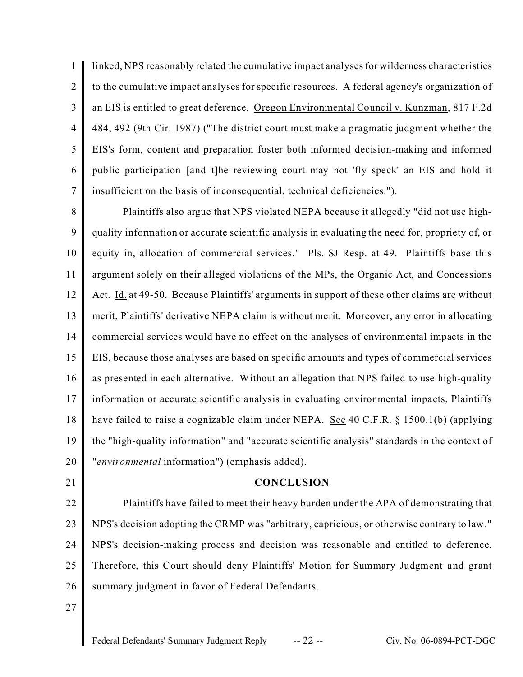1  $\mathfrak{D}$ 3 4 5 6 7 linked, NPS reasonably related the cumulative impact analyses for wilderness characteristics to the cumulative impact analyses for specific resources. A federal agency's organization of an EIS is entitled to great deference. Oregon Environmental Council v. Kunzman, 817 F.2d 484, 492 (9th Cir. 1987) ("The district court must make a pragmatic judgment whether the EIS's form, content and preparation foster both informed decision-making and informed public participation [and t]he reviewing court may not 'fly speck' an EIS and hold it insufficient on the basis of inconsequential, technical deficiencies.").

8 9 10 11 12 13 14 15 16 17 18 19 20 Plaintiffs also argue that NPS violated NEPA because it allegedly "did not use highquality information or accurate scientific analysis in evaluating the need for, propriety of, or equity in, allocation of commercial services." Pls. SJ Resp. at 49. Plaintiffs base this argument solely on their alleged violations of the MPs, the Organic Act, and Concessions Act. Id. at 49-50. Because Plaintiffs' arguments in support of these other claims are without merit, Plaintiffs' derivative NEPA claim is without merit. Moreover, any error in allocating commercial services would have no effect on the analyses of environmental impacts in the EIS, because those analyses are based on specific amounts and types of commercial services as presented in each alternative. Without an allegation that NPS failed to use high-quality information or accurate scientific analysis in evaluating environmental impacts, Plaintiffs have failed to raise a cognizable claim under NEPA. See 40 C.F.R.  $\S$  1500.1(b) (applying the "high-quality information" and "accurate scientific analysis" standards in the context of "*environmental* information") (emphasis added).

21

#### **CONCLUSION**

22 23 24 25 26 Plaintiffs have failed to meet their heavy burden under the APA of demonstrating that NPS's decision adopting the CRMP was "arbitrary, capricious, or otherwise contrary to law." NPS's decision-making process and decision was reasonable and entitled to deference. Therefore, this Court should deny Plaintiffs' Motion for Summary Judgment and grant summary judgment in favor of Federal Defendants.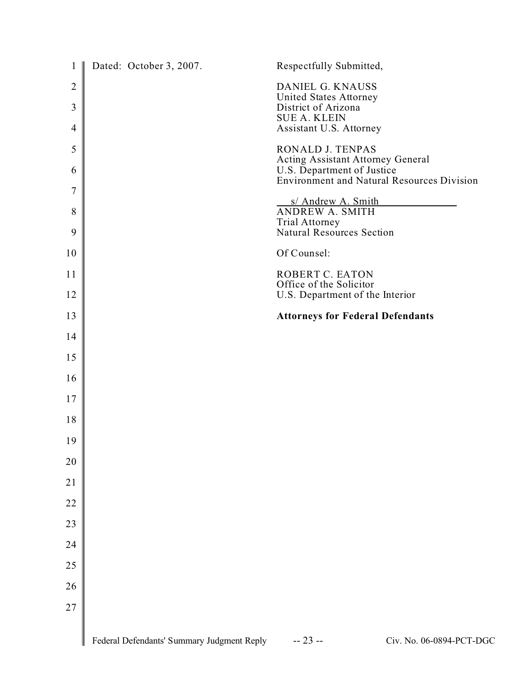| $\mathbf{1}$        | Dated: October 3, 2007.                    | Respectfully Submitted,                                                                     |
|---------------------|--------------------------------------------|---------------------------------------------------------------------------------------------|
| $\overline{2}$<br>3 |                                            | DANIEL G. KNAUSS<br>United States Attorney<br>District of Arizona<br><b>SUE A. KLEIN</b>    |
| 4                   |                                            | Assistant U.S. Attorney                                                                     |
| 5<br>6              |                                            | RONALD J. TENPAS<br>Acting Assistant Attorney General<br>U.S. Department of Justice         |
| $\boldsymbol{7}$    |                                            | <b>Environment and Natural Resources Division</b>                                           |
| 8<br>9              |                                            | s/ Andrew A. Smith<br>ANDREW A. SMITH<br>Trial Attorney<br><b>Natural Resources Section</b> |
| 10                  |                                            | Of Counsel:                                                                                 |
| 11                  |                                            | ROBERT C. EATON                                                                             |
| 12                  |                                            | Office of the Solicitor<br>U.S. Department of the Interior                                  |
| 13                  |                                            | <b>Attorneys for Federal Defendants</b>                                                     |
| 14                  |                                            |                                                                                             |
| 15                  |                                            |                                                                                             |
| 16                  |                                            |                                                                                             |
| 17                  |                                            |                                                                                             |
| 18                  |                                            |                                                                                             |
| 19                  |                                            |                                                                                             |
| 20                  |                                            |                                                                                             |
| 21                  |                                            |                                                                                             |
| 22                  |                                            |                                                                                             |
| 23                  |                                            |                                                                                             |
| 24                  |                                            |                                                                                             |
| 25                  |                                            |                                                                                             |
| 26                  |                                            |                                                                                             |
| 27                  |                                            |                                                                                             |
|                     | Federal Defendants' Summary Judgment Reply | $-23 -$<br>Civ. No. 06-0894-PCT-DGC                                                         |